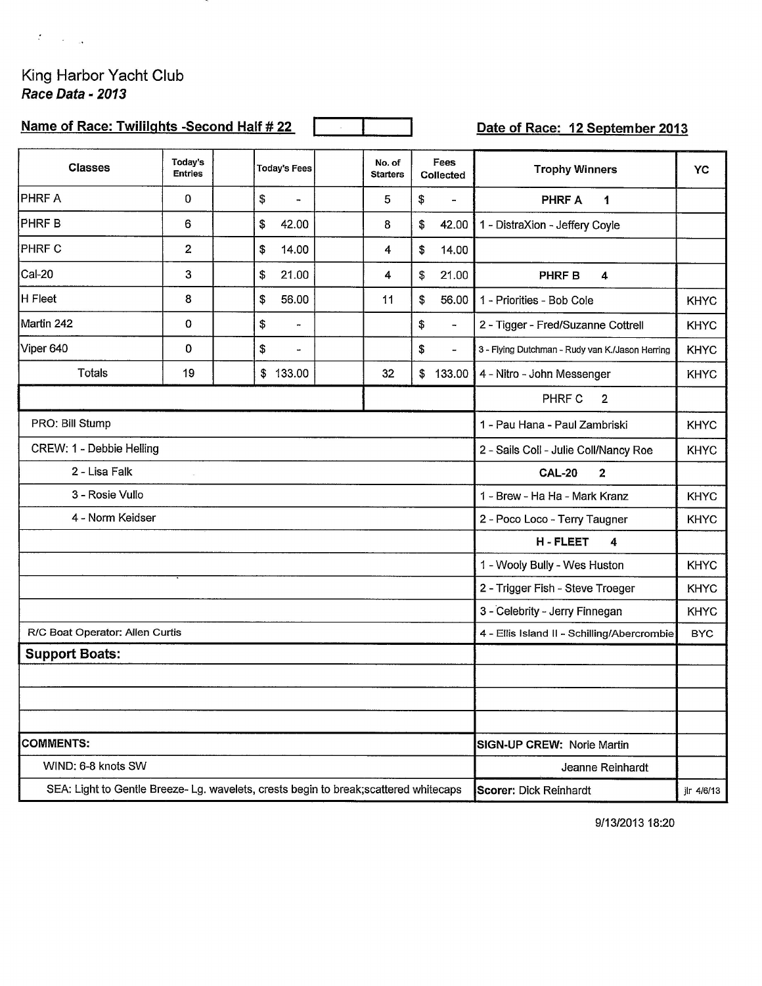## King Harbor Yacht Club Race Data - 2013

 $\mathcal{L} = 1 - \frac{1}{2}$ 

| Name of Race: Twililghts -Second Half # 22                                            |                           |                                              |                           |                                | Date of Race: 12 September 2013                      |             |  |  |
|---------------------------------------------------------------------------------------|---------------------------|----------------------------------------------|---------------------------|--------------------------------|------------------------------------------------------|-------------|--|--|
| <b>Classes</b>                                                                        | Today's<br><b>Entries</b> | <b>Today's Fees</b>                          | No. of<br><b>Starters</b> | Fees<br>Collected              | <b>Trophy Winners</b>                                | YC          |  |  |
| PHRF A                                                                                | 0                         | \$<br>$\overline{\phantom{a}}$               | 5                         | \$<br>$\overline{\phantom{0}}$ | <b>PHRF A</b><br>1                                   |             |  |  |
| PHRF B                                                                                | 6                         | \$<br>42.00                                  | 8                         | \$<br>42.00                    | 1 - DistraXion - Jeffery Coyle                       |             |  |  |
| <b>PHRF C</b>                                                                         | $\overline{\mathbf{c}}$   | \$<br>14.00                                  | 4                         | \$<br>14.00                    |                                                      |             |  |  |
| Cal-20                                                                                | 3                         | \$<br>21.00                                  | 4                         | \$<br>21.00                    | <b>PHRFB</b><br>$\overline{4}$                       |             |  |  |
| H Fleet                                                                               | 8                         | \$<br>56.00                                  | 11                        | \$<br>56.00                    | 1 - Priorities - Bob Cole                            | <b>KHYC</b> |  |  |
| Martin 242                                                                            | 0                         | \$<br>$\overline{\phantom{a}}$               |                           | \$<br>$\overline{\phantom{a}}$ | 2 - Tigger - Fred/Suzanne Cottrell                   | <b>KHYC</b> |  |  |
| Viper 640                                                                             | 0                         | \$<br>$\overline{\phantom{a}}$               |                           | \$<br>$\overline{\phantom{a}}$ | 3 - Flying Dutchman - Rudy van K./Jason Herring      | <b>KHYC</b> |  |  |
| Totals                                                                                | 19                        | \$133.00                                     | 32                        | \$133.00                       | 4 - Nitro - John Messenger                           | <b>KHYC</b> |  |  |
|                                                                                       |                           |                                              |                           |                                | PHRF C<br>$\overline{\mathbf{2}}$                    |             |  |  |
| PRO: Bill Stump                                                                       |                           | <b>KHYC</b><br>1 - Pau Hana - Paul Zambriski |                           |                                |                                                      |             |  |  |
| CREW: 1 - Debbie Helling                                                              |                           |                                              |                           |                                | 2 - Sails Coll - Julie Coll/Nancy Roe<br><b>KHYC</b> |             |  |  |
| 2 - Lisa Falk                                                                         |                           | <b>CAL-20</b><br>$\overline{2}$              |                           |                                |                                                      |             |  |  |
| 3 - Rosie Vullo                                                                       |                           | 1 - Brew - Ha Ha - Mark Kranz                | <b>KHYC</b>               |                                |                                                      |             |  |  |
| 4 - Norm Keidser                                                                      |                           | 2 - Poco Loco - Terry Taugner                | <b>KHYC</b>               |                                |                                                      |             |  |  |
|                                                                                       |                           |                                              |                           |                                | H-FLEET<br>4                                         |             |  |  |
|                                                                                       |                           |                                              |                           |                                | 1 - Wooly Bully - Wes Huston                         | <b>KHYC</b> |  |  |
|                                                                                       |                           |                                              |                           |                                | 2 - Trigger Fish - Steve Troeger                     | <b>KHYC</b> |  |  |
|                                                                                       |                           |                                              |                           |                                | 3 - Celebrity - Jerry Finnegan                       | <b>KHYC</b> |  |  |
| R/C Boat Operator: Allen Curtis                                                       |                           | 4 - Ellis Island II - Schilling/Abercrombie  | <b>BYC</b>                |                                |                                                      |             |  |  |
| <b>Support Boats:</b>                                                                 |                           |                                              |                           |                                |                                                      |             |  |  |
|                                                                                       |                           |                                              |                           |                                |                                                      |             |  |  |
|                                                                                       |                           |                                              |                           |                                |                                                      |             |  |  |
|                                                                                       |                           |                                              |                           |                                |                                                      |             |  |  |
| <b>COMMENTS:</b>                                                                      |                           | SIGN-UP CREW: Norie Martin                   |                           |                                |                                                      |             |  |  |
| WIND: 6-8 knots SW                                                                    |                           | Jeanne Reinhardt                             |                           |                                |                                                      |             |  |  |
| SEA: Light to Gentle Breeze- Lg. wavelets, crests begin to break; scattered whitecaps |                           | <b>Scorer: Dick Reinhardt</b><br>jlr 4/6/13  |                           |                                |                                                      |             |  |  |

9/13/2013 18:20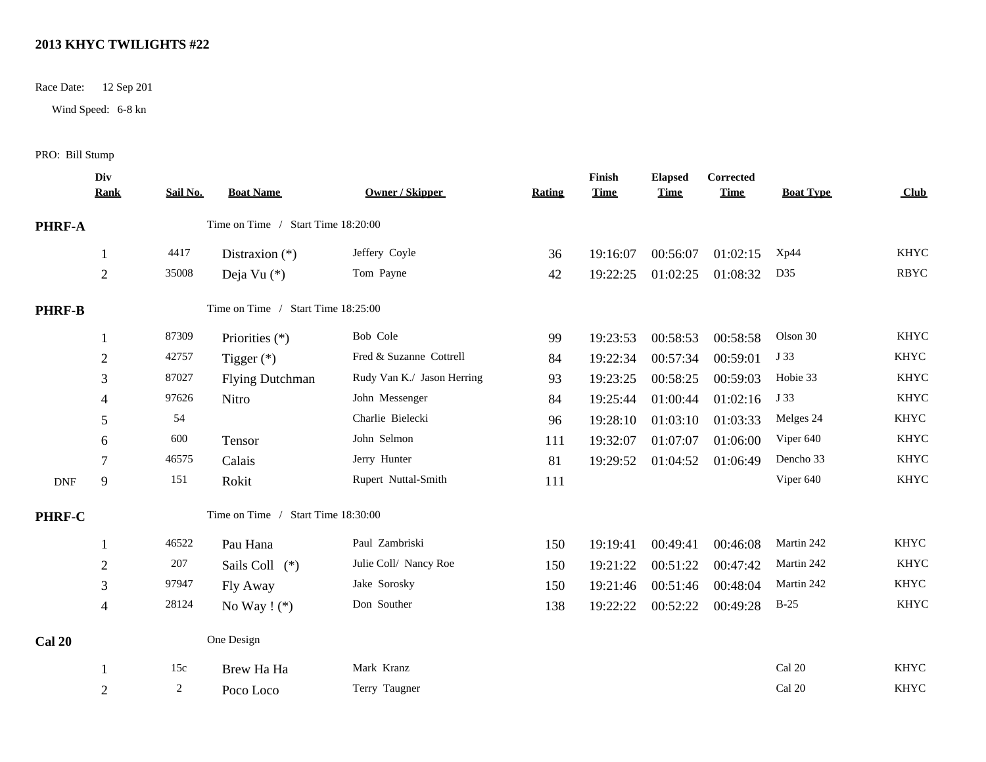## **2013 KHYC TWILIGHTS #22**

Race Date: 12 Sep 201

Wind Speed: 6-8 kn

## PRO: Bill Stump

|               | Div<br>Rank    | Sail No. | <b>Boat Name</b>                   | <b>Owner / Skipper</b>     | <b>Rating</b> | Finish<br><b>Time</b> | <b>Elapsed</b><br><b>Time</b> | Corrected<br><b>Time</b> | <b>Boat Type</b> | Club        |
|---------------|----------------|----------|------------------------------------|----------------------------|---------------|-----------------------|-------------------------------|--------------------------|------------------|-------------|
| PHRF-A        |                |          | Time on Time / Start Time 18:20:00 |                            |               |                       |                               |                          |                  |             |
|               |                | 4417     | Distraxion $(*)$                   | Jeffery Coyle              | 36            | 19:16:07              | 00:56:07                      | 01:02:15                 | Xp44             | <b>KHYC</b> |
|               | $\overline{2}$ | 35008    | Deja Vu (*)                        | Tom Payne                  | 42            | 19:22:25              | 01:02:25                      | 01:08:32                 | D35              | <b>RBYC</b> |
| <b>PHRF-B</b> |                |          | Time on Time / Start Time 18:25:00 |                            |               |                       |                               |                          |                  |             |
|               |                | 87309    | Priorities (*)                     | Bob Cole                   | 99            | 19:23:53              | 00:58:53                      | 00:58:58                 | Olson 30         | <b>KHYC</b> |
|               | $\overline{2}$ | 42757    | Tigger $(*)$                       | Fred & Suzanne Cottrell    | 84            | 19:22:34              | 00:57:34                      | 00:59:01                 | J 33             | <b>KHYC</b> |
|               | 3              | 87027    | <b>Flying Dutchman</b>             | Rudy Van K./ Jason Herring | 93            | 19:23:25              | 00:58:25                      | 00:59:03                 | Hobie 33         | <b>KHYC</b> |
|               | $\overline{4}$ | 97626    | Nitro                              | John Messenger             | 84            | 19:25:44              | 01:00:44                      | 01:02:16                 | J 33             | <b>KHYC</b> |
|               | 5              | 54       |                                    | Charlie Bielecki           | 96            | 19:28:10              | 01:03:10                      | 01:03:33                 | Melges 24        | <b>KHYC</b> |
|               | 6              | 600      | Tensor                             | John Selmon                | 111           | 19:32:07              | 01:07:07                      | 01:06:00                 | Viper 640        | <b>KHYC</b> |
|               | 7              | 46575    | Calais                             | Jerry Hunter               | 81            | 19:29:52              | 01:04:52                      | 01:06:49                 | Dencho 33        | <b>KHYC</b> |
| <b>DNF</b>    | 9              | 151      | Rokit                              | Rupert Nuttal-Smith        | 111           |                       |                               |                          | Viper 640        | <b>KHYC</b> |
| <b>PHRF-C</b> |                |          | Time on Time / Start Time 18:30:00 |                            |               |                       |                               |                          |                  |             |
|               |                | 46522    | Pau Hana                           | Paul Zambriski             | 150           | 19:19:41              | 00:49:41                      | 00:46:08                 | Martin 242       | <b>KHYC</b> |
|               | $\sqrt{2}$     | 207      | Sails Coll (*)                     | Julie Coll/ Nancy Roe      | 150           | 19:21:22              | 00:51:22                      | 00:47:42                 | Martin 242       | <b>KHYC</b> |
|               | 3              | 97947    | Fly Away                           | Jake Sorosky               | 150           | 19:21:46              | 00:51:46                      | 00:48:04                 | Martin 242       | <b>KHYC</b> |
|               | $\overline{4}$ | 28124    | No Way $!$ $(*)$                   | Don Souther                | 138           | 19:22:22              | 00:52:22                      | 00:49:28                 | $B-25$           | <b>KHYC</b> |
| <b>Cal 20</b> |                |          | One Design                         |                            |               |                       |                               |                          |                  |             |
|               |                | 15c      | Brew Ha Ha                         | Mark Kranz                 |               |                       |                               |                          | Cal 20           | <b>KHYC</b> |
|               | $\overline{2}$ | 2        | Poco Loco                          | Terry Taugner              |               |                       |                               |                          | Cal 20           | <b>KHYC</b> |
|               |                |          |                                    |                            |               |                       |                               |                          |                  |             |